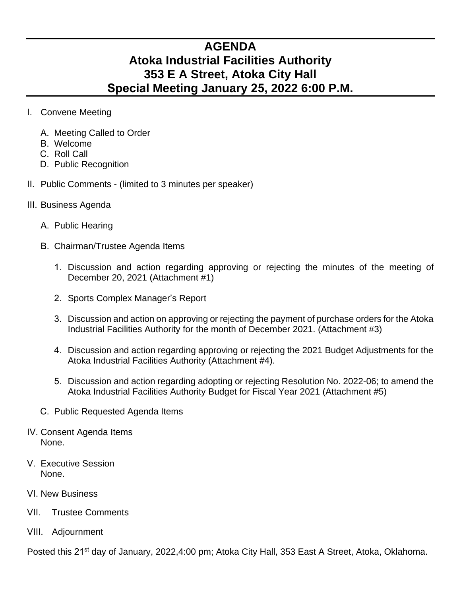## **AGENDA Atoka Industrial Facilities Authority 353 E A Street, Atoka City Hall Special Meeting January 25, 2022 6:00 P.M.**

- I. Convene Meeting
	- A. Meeting Called to Order
	- B. Welcome
	- C. Roll Call
	- D. Public Recognition
- II. Public Comments (limited to 3 minutes per speaker)
- III. Business Agenda
	- A. Public Hearing
	- B. Chairman/Trustee Agenda Items
		- 1. Discussion and action regarding approving or rejecting the minutes of the meeting of December 20, 2021 (Attachment #1)
		- 2. Sports Complex Manager's Report
		- 3. Discussion and action on approving or rejecting the payment of purchase orders for the Atoka Industrial Facilities Authority for the month of December 2021. (Attachment #3)
		- 4. Discussion and action regarding approving or rejecting the 2021 Budget Adjustments for the Atoka Industrial Facilities Authority (Attachment #4).
		- 5. Discussion and action regarding adopting or rejecting Resolution No. 2022-06; to amend the Atoka Industrial Facilities Authority Budget for Fiscal Year 2021 (Attachment #5)
	- C. Public Requested Agenda Items
- IV. Consent Agenda Items None.
- V. Executive Session None.
- VI. New Business
- VII. Trustee Comments
- VIII. Adjournment

Posted this 21<sup>st</sup> day of January, 2022,4:00 pm; Atoka City Hall, 353 East A Street, Atoka, Oklahoma.